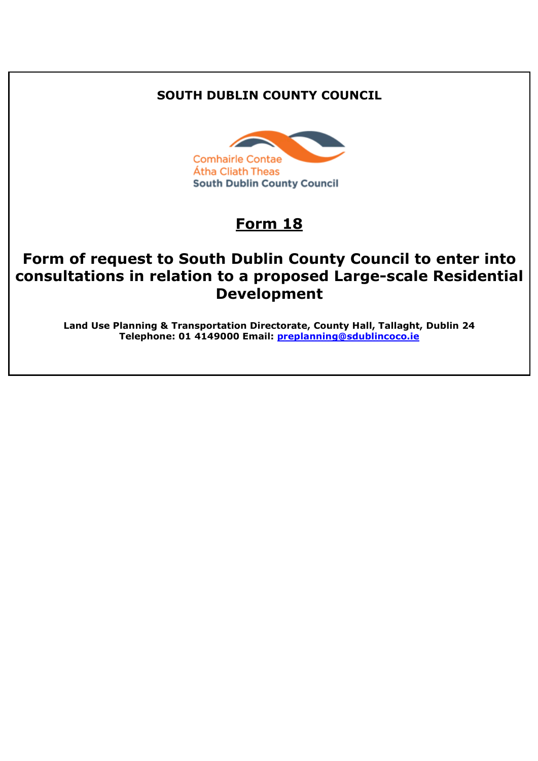# **SOUTH DUBLIN COUNTY COUNCIL**



# **Form 18**

# **Form of request to South Dublin County Council to enter into consultations in relation to a proposed Large-scale Residential Development**

**Land Use Planning & Transportation Directorate, County Hall, Tallaght, Dublin 24 Telephone: 01 4149000 Email: [preplanning@sdublincoco.ie](mailto:preplanning@sdublincoco.ie)**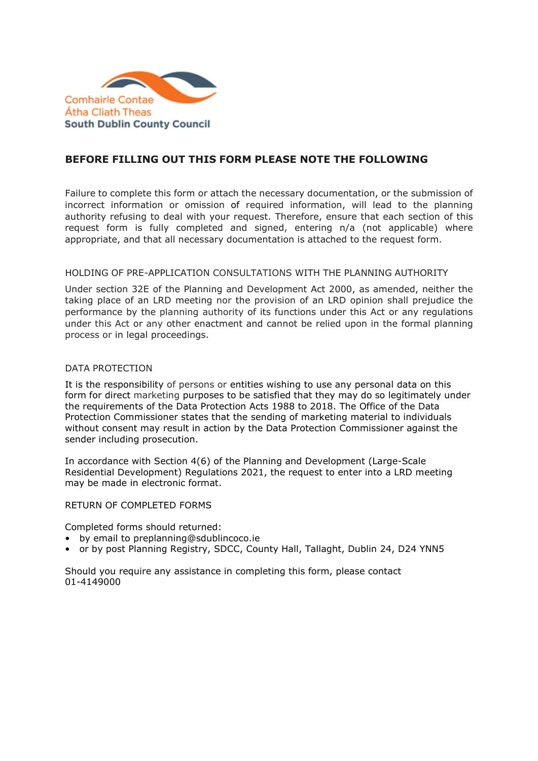

## **BEFORE FILLING OUT THIS FORM PLEASE NOTE THE FOLLOWING**

Failure to complete this form or attach the necessary documentation, or the submission of incorrect information or omission of required information, will lead to the planning authority refusing to deal with your request. Therefore, ensure that each section of this request form is fully completed and signed, entering n/a (not applicable) where appropriate, and that all necessary documentation is attached to the request form.

#### HOLDING OF PRE-APPLICATION CONSULTATIONS WITH THE PLANNING AUTHORITY

Under section 32E of the Planning and Development Act 2000, as amended, neither the taking place of an LRD meeting nor the provision of an LRD opinion shall prejudice the performance by the planning authority of its functions under this Act or any regulations under this Act or any other enactment and cannot be relied upon in the formal planning process or in legal proceedings.

#### DATA PROTECTION

It is the responsibility of persons or entities wishing to use any personal data on this form for direct marketing purposes to be satisfied that they may do so legitimately under the requirements of the Data Protection Acts 1988 to 2018. The Office of the Data Protection Commissioner states that the sending of marketing material to individuals without consent may result in action by the Data Protection Commissioner against the sender including prosecution.

In accordance with Section 4(6) of the Planning and Development (Large-Scale Residential Development) Regulations 2021, the request to enter into a LRD meeting may be made in electronic format.

#### RETURN OF COMPLETED FORMS

Completed forms should returned:

- by email to preplanning@sdublincoco.ie
- or by post Planning Registry, SDCC, County Hall, Tallaght, Dublin 24, D24 YNN5

Should you require any assistance in completing this form, please contact 01-4149000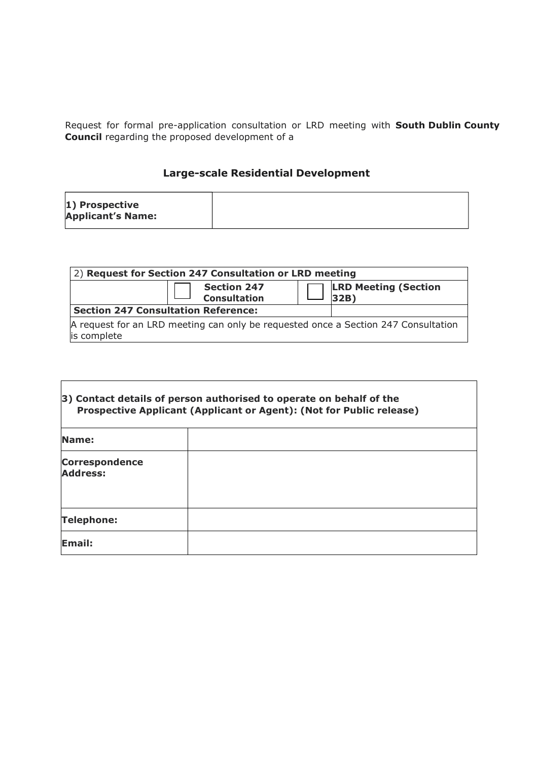Request for formal pre-application consultation or LRD meeting with **South Dublin County Council** regarding the proposed development of a

# **Large-scale Residential Development**

| 2) Request for Section 247 Consultation or LRD meeting                                            |                                           |  |                                     |  |  |
|---------------------------------------------------------------------------------------------------|-------------------------------------------|--|-------------------------------------|--|--|
|                                                                                                   | <b>Section 247</b><br><b>Consultation</b> |  | <b>LRD Meeting (Section</b><br>32B) |  |  |
| <b>Section 247 Consultation Reference:</b>                                                        |                                           |  |                                     |  |  |
| A request for an LRD meeting can only be requested once a Section 247 Consultation<br>is complete |                                           |  |                                     |  |  |

 $\overline{\mathsf{I}}$ 

 $\Gamma$ 

| 3) Contact details of person authorised to operate on behalf of the<br>Prospective Applicant (Applicant or Agent): (Not for Public release) |  |  |  |  |
|---------------------------------------------------------------------------------------------------------------------------------------------|--|--|--|--|
| Name:                                                                                                                                       |  |  |  |  |
| <b>Correspondence</b><br><b>Address:</b>                                                                                                    |  |  |  |  |
| <b>Telephone:</b>                                                                                                                           |  |  |  |  |
| Email:                                                                                                                                      |  |  |  |  |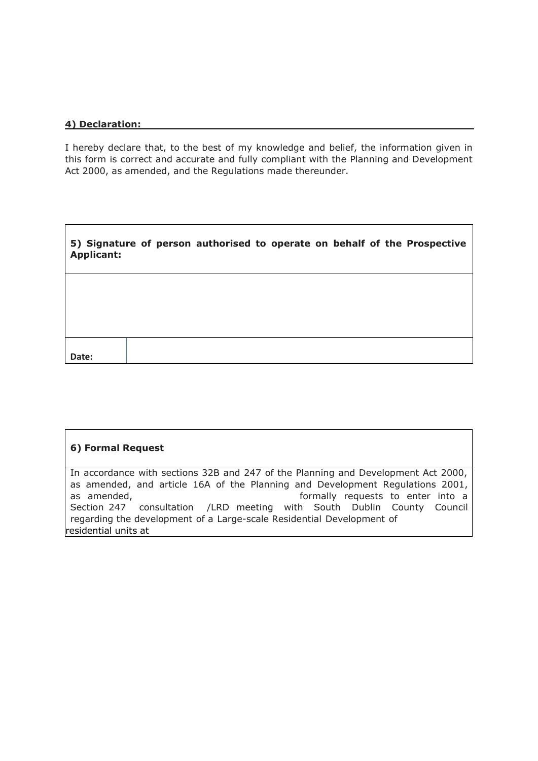#### **4) Declaration:**

I hereby declare that, to the best of my knowledge and belief, the information given in this form is correct and accurate and fully compliant with the Planning and Development Act 2000, as amended, and the Regulations made thereunder.

| <b>Applicant:</b> |  | 5) Signature of person authorised to operate on behalf of the Prospective |
|-------------------|--|---------------------------------------------------------------------------|
|                   |  |                                                                           |
|                   |  |                                                                           |
| Date:             |  |                                                                           |

### **6) Formal Request**

In accordance with sections 32B and 247 of the Planning and Development Act 2000, as amended, and article 16A of the Planning and Development Regulations 2001, as amended, formally requests to enter into a Section 247 consultation /LRD meeting with South Dublin County Council regarding the development of a Large-scale Residential Development of residential units at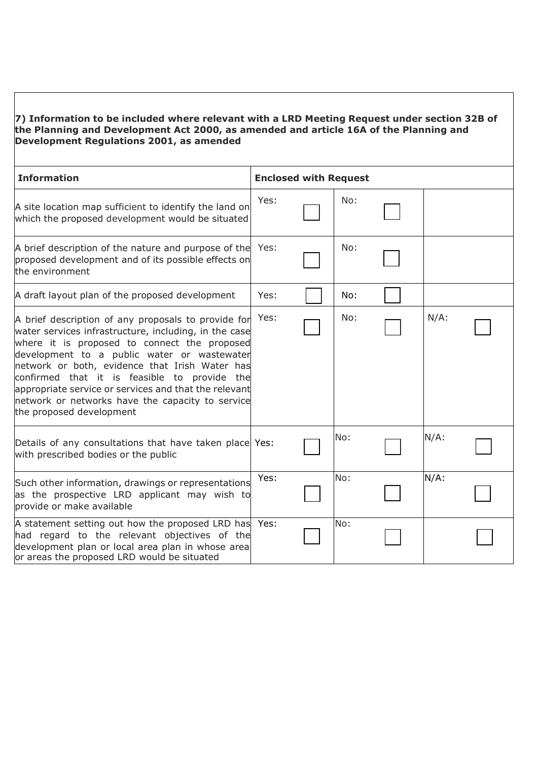### **7) Information to be included where relevant with a LRD Meeting Request under section 32B of the Planning and Development Act 2000, as amended and article 16A of the Planning and Development Regulations 2001, as amended**

| <b>Information</b>                                                                                                                                                                                                                                                                                                                                                                                                                                     | <b>Enclosed with Request</b> |     |         |
|--------------------------------------------------------------------------------------------------------------------------------------------------------------------------------------------------------------------------------------------------------------------------------------------------------------------------------------------------------------------------------------------------------------------------------------------------------|------------------------------|-----|---------|
| A site location map sufficient to identify the land on<br>which the proposed development would be situated                                                                                                                                                                                                                                                                                                                                             | Yes:                         | No: |         |
| A brief description of the nature and purpose of the<br>proposed development and of its possible effects on<br>the environment                                                                                                                                                                                                                                                                                                                         | Yes:                         | No: |         |
| A draft layout plan of the proposed development                                                                                                                                                                                                                                                                                                                                                                                                        | Yes:                         | No: |         |
| A brief description of any proposals to provide for<br>water services infrastructure, including, in the case<br>where it is proposed to connect the proposed<br>development to a public water or wastewater<br>network or both, evidence that Irish Water has<br>confirmed that it is feasible to provide the<br>appropriate service or services and that the relevant<br>network or networks have the capacity to service<br>the proposed development | Yes:                         | No: | $N/A$ : |
| Details of any consultations that have taken place Yes:<br>with prescribed bodies or the public                                                                                                                                                                                                                                                                                                                                                        |                              | No: | $N/A$ : |
| Such other information, drawings or representations<br>as the prospective LRD applicant may wish to<br>provide or make available                                                                                                                                                                                                                                                                                                                       | Yes:                         | No: | $N/A$ : |
| A statement setting out how the proposed LRD has Yes:<br>had regard to the relevant objectives of the<br>development plan or local area plan in whose area<br>or areas the proposed LRD would be situated                                                                                                                                                                                                                                              |                              | No: |         |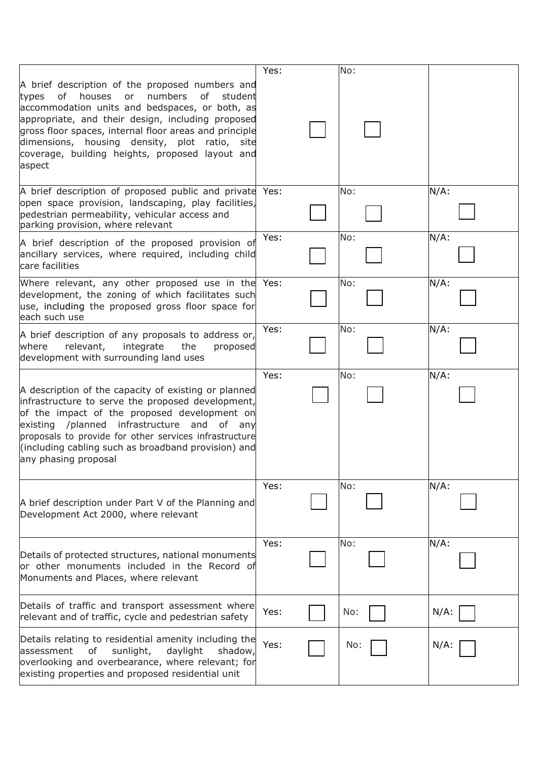|                                                                                                                                                                                                                                                                                                                                                                                                 | Yes: | No: |         |
|-------------------------------------------------------------------------------------------------------------------------------------------------------------------------------------------------------------------------------------------------------------------------------------------------------------------------------------------------------------------------------------------------|------|-----|---------|
| A brief description of the proposed numbers and<br>numbers<br>0f<br>houses<br>0f<br>types<br>or<br>student<br>accommodation units and bedspaces, or both, as<br>appropriate, and their design, including proposed<br>gross floor spaces, internal floor areas and principle<br>dimensions, housing density, plot<br>ratio,<br>site<br>coverage, building heights, proposed layout and<br>aspect |      |     |         |
| A brief description of proposed public and private Yes:<br>open space provision, landscaping, play facilities,<br>pedestrian permeability, vehicular access and<br>parking provision, where relevant                                                                                                                                                                                            |      | No: | $N/A$ : |
| A brief description of the proposed provision of<br>ancillary services, where required, including child<br>care facilities                                                                                                                                                                                                                                                                      | Yes: | No: | $N/A$ : |
| Where relevant, any other proposed use in the Yes:<br>development, the zoning of which facilitates such<br>use, including the proposed gross floor space for<br>each such use                                                                                                                                                                                                                   |      | No: | $N/A$ : |
| A brief description of any proposals to address or,<br>where<br>relevant,<br>integrate<br>the<br>proposed<br>development with surrounding land uses                                                                                                                                                                                                                                             | Yes: | No: | $N/A$ : |
| A description of the capacity of existing or planned<br>infrastructure to serve the proposed development,<br>of the impact of the proposed development on<br>existing /planned infrastructure and of any<br>proposals to provide for other services infrastructure<br>(including cabling such as broadband provision) and<br>any phasing proposal                                               | Yes: | No: | $N/A$ : |
| A brief description under Part V of the Planning and<br>Development Act 2000, where relevant                                                                                                                                                                                                                                                                                                    | Yes: | No: | $N/A$ : |
| Details of protected structures, national monuments<br>or other monuments included in the Record of<br>Monuments and Places, where relevant                                                                                                                                                                                                                                                     | Yes: | No: | $N/A$ : |
| Details of traffic and transport assessment where<br>relevant and of traffic, cycle and pedestrian safety                                                                                                                                                                                                                                                                                       | Yes: | No: | $N/A$ : |
| Details relating to residential amenity including the<br>sunlight,<br>daylight<br>assessment<br>of<br>shadow,<br>overlooking and overbearance, where relevant; for<br>existing properties and proposed residential unit                                                                                                                                                                         | Yes: | No: | $N/A$ : |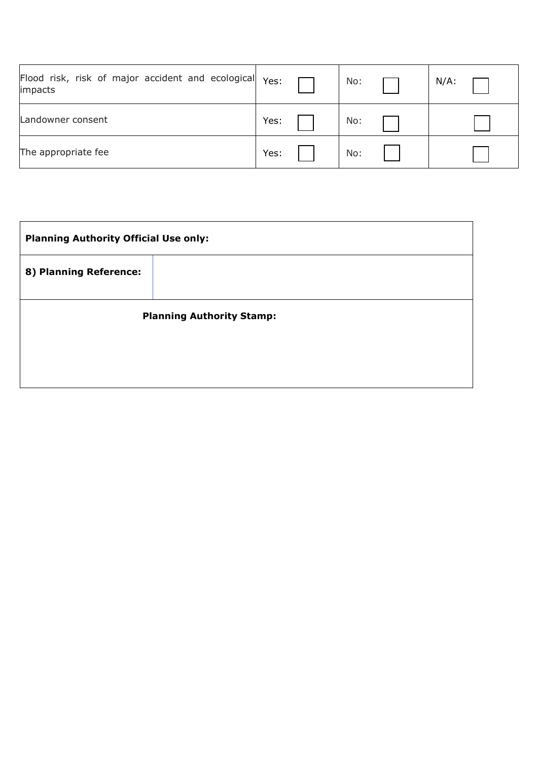| Flood risk, risk of major accident and ecological Yes:<br>impacts |      | No: | $N/A$ : |
|-------------------------------------------------------------------|------|-----|---------|
| Landowner consent                                                 | Yes: | No: |         |
| The appropriate fee                                               | Yes: | No: |         |

| <b>Planning Authority Official Use only:</b> |  |  |  |  |
|----------------------------------------------|--|--|--|--|
|                                              |  |  |  |  |
| <b>Planning Authority Stamp:</b>             |  |  |  |  |
|                                              |  |  |  |  |
|                                              |  |  |  |  |